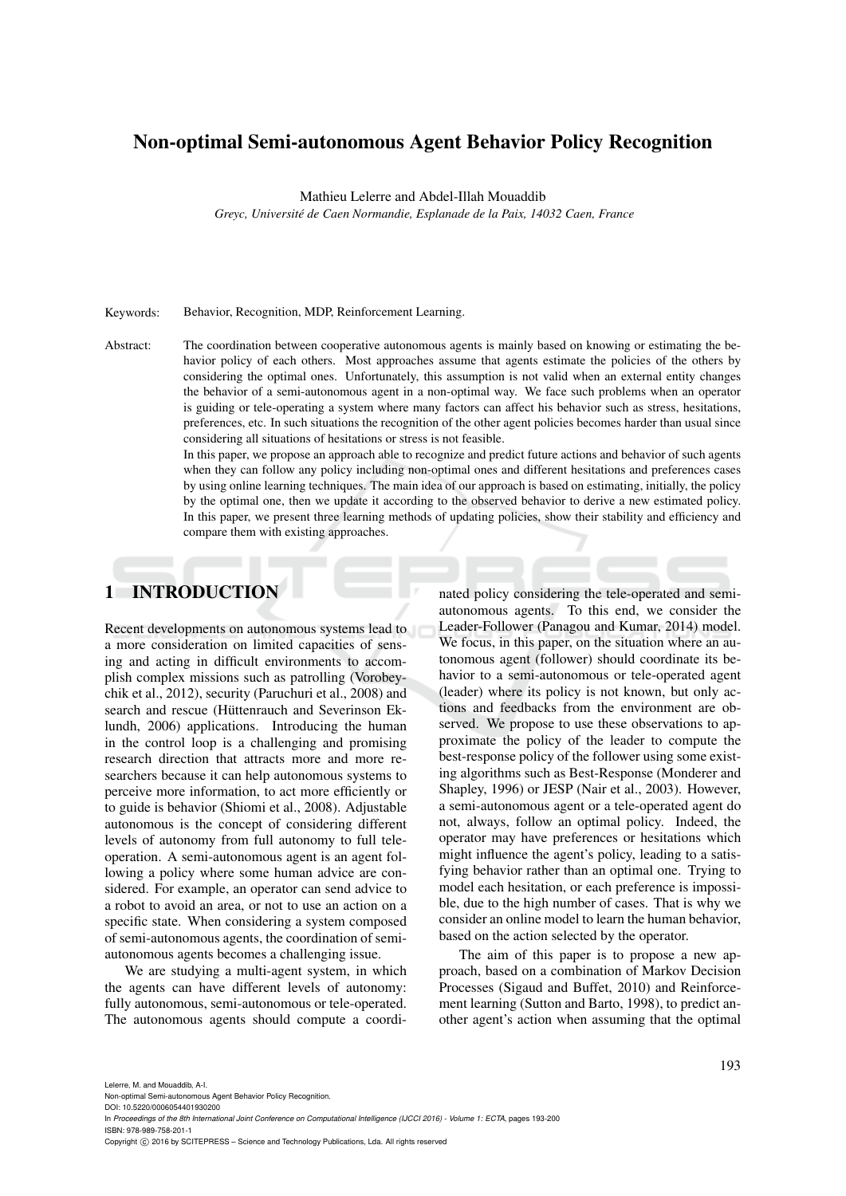# Non-optimal Semi-autonomous Agent Behavior Policy Recognition

Mathieu Lelerre and Abdel-Illah Mouaddib

*Greyc, Universite de Caen Normandie, Esplanade de la Paix, 14032 Caen, France ´*

#### Keywords: Behavior, Recognition, MDP, Reinforcement Learning.

Abstract: The coordination between cooperative autonomous agents is mainly based on knowing or estimating the behavior policy of each others. Most approaches assume that agents estimate the policies of the others by considering the optimal ones. Unfortunately, this assumption is not valid when an external entity changes the behavior of a semi-autonomous agent in a non-optimal way. We face such problems when an operator is guiding or tele-operating a system where many factors can affect his behavior such as stress, hesitations, preferences, etc. In such situations the recognition of the other agent policies becomes harder than usual since considering all situations of hesitations or stress is not feasible.

> In this paper, we propose an approach able to recognize and predict future actions and behavior of such agents when they can follow any policy including non-optimal ones and different hesitations and preferences cases by using online learning techniques. The main idea of our approach is based on estimating, initially, the policy by the optimal one, then we update it according to the observed behavior to derive a new estimated policy. In this paper, we present three learning methods of updating policies, show their stability and efficiency and compare them with existing approaches.

# 1 INTRODUCTION

Recent developments on autonomous systems lead to a more consideration on limited capacities of sensing and acting in difficult environments to accomplish complex missions such as patrolling (Vorobeychik et al., 2012), security (Paruchuri et al., 2008) and search and rescue (Hüttenrauch and Severinson Eklundh, 2006) applications. Introducing the human in the control loop is a challenging and promising research direction that attracts more and more researchers because it can help autonomous systems to perceive more information, to act more efficiently or to guide is behavior (Shiomi et al., 2008). Adjustable autonomous is the concept of considering different levels of autonomy from full autonomy to full teleoperation. A semi-autonomous agent is an agent following a policy where some human advice are considered. For example, an operator can send advice to a robot to avoid an area, or not to use an action on a specific state. When considering a system composed of semi-autonomous agents, the coordination of semiautonomous agents becomes a challenging issue.

We are studying a multi-agent system, in which the agents can have different levels of autonomy: fully autonomous, semi-autonomous or tele-operated. The autonomous agents should compute a coordinated policy considering the tele-operated and semiautonomous agents. To this end, we consider the Leader-Follower (Panagou and Kumar, 2014) model. We focus, in this paper, on the situation where an autonomous agent (follower) should coordinate its behavior to a semi-autonomous or tele-operated agent (leader) where its policy is not known, but only actions and feedbacks from the environment are observed. We propose to use these observations to approximate the policy of the leader to compute the best-response policy of the follower using some existing algorithms such as Best-Response (Monderer and Shapley, 1996) or JESP (Nair et al., 2003). However, a semi-autonomous agent or a tele-operated agent do not, always, follow an optimal policy. Indeed, the operator may have preferences or hesitations which might influence the agent's policy, leading to a satisfying behavior rather than an optimal one. Trying to model each hesitation, or each preference is impossible, due to the high number of cases. That is why we consider an online model to learn the human behavior, based on the action selected by the operator.

The aim of this paper is to propose a new approach, based on a combination of Markov Decision Processes (Sigaud and Buffet, 2010) and Reinforcement learning (Sutton and Barto, 1998), to predict another agent's action when assuming that the optimal

Lelerre, M. and Mouaddib, A-I.

Non-optimal Semi-autonomous Agent Behavior Policy Recognition.

DOI: 10.5220/0006054401930200

In *Proceedings of the 8th International Joint Conference on Computational Intelligence (IJCCI 2016) - Volume 1: ECTA*, pages 193-200 ISBN: 978-989-758-201-1

Copyright (C) 2016 by SCITEPRESS - Science and Technology Publications, Lda. All rights reserved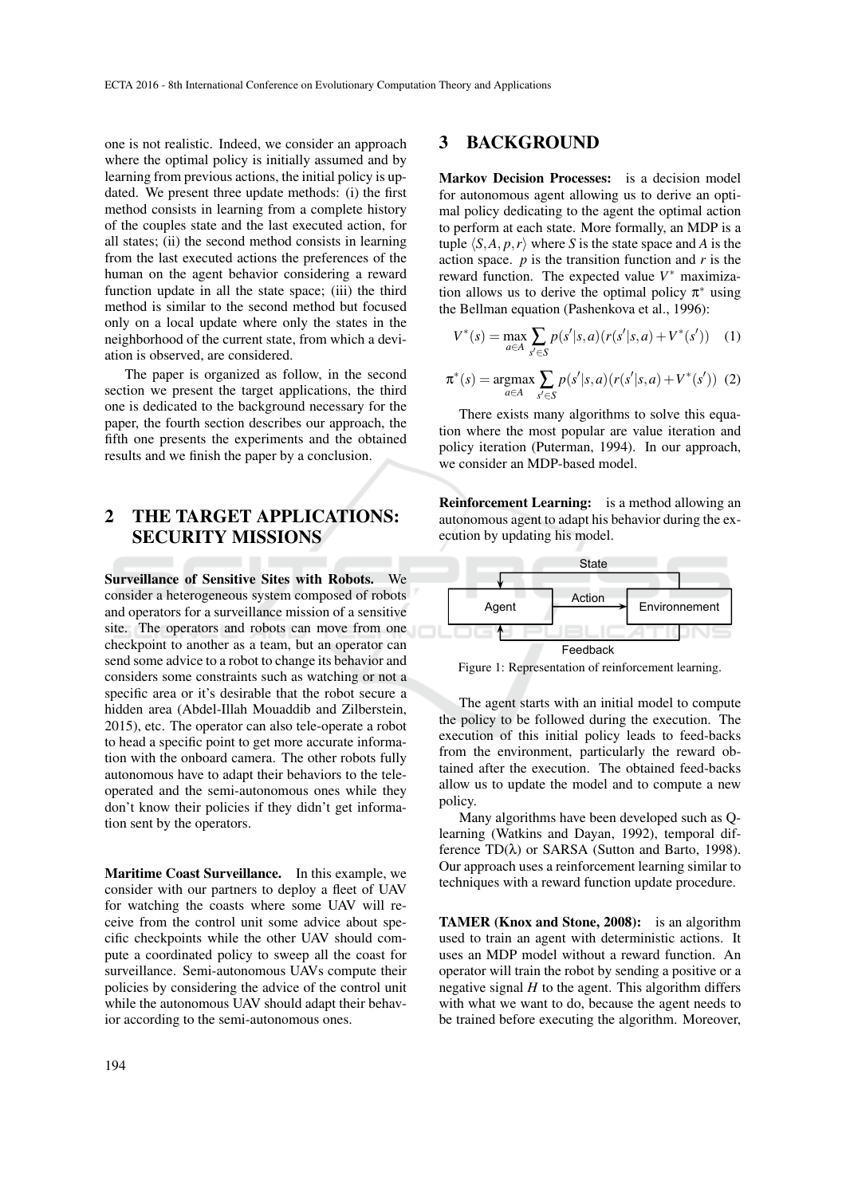one is not realistic. Indeed, we consider an approach where the optimal policy is initially assumed and by learning from previous actions, the initial policy is updated. We present three update methods: (i) the first method consists in learning from a complete history of the couples state and the last executed action, for all states; (ii) the second method consists in learning from the last executed actions the preferences of the human on the agent behavior considering a reward function update in all the state space; (iii) the third method is similar to the second method but focused only on a local update where only the states in the neighborhood of the current state, from which a deviation is observed, are considered.

The paper is organized as follow, in the second section we present the target applications, the third one is dedicated to the background necessary for the paper, the fourth section describes our approach, the fifth one presents the experiments and the obtained results and we finish the paper by a conclusion.

# 2 THE TARGET APPLICATIONS: SECURITY MISSIONS

Surveillance of Sensitive Sites with Robots. We consider a heterogeneous system composed of robots and operators for a surveillance mission of a sensitive site. The operators and robots can move from one checkpoint to another as a team, but an operator can send some advice to a robot to change its behavior and considers some constraints such as watching or not a specific area or it's desirable that the robot secure a hidden area (Abdel-Illah Mouaddib and Zilberstein, 2015), etc. The operator can also tele-operate a robot to head a specific point to get more accurate information with the onboard camera. The other robots fully autonomous have to adapt their behaviors to the teleoperated and the semi-autonomous ones while they don't know their policies if they didn't get information sent by the operators.

Maritime Coast Surveillance. In this example, we consider with our partners to deploy a fleet of UAV for watching the coasts where some UAV will receive from the control unit some advice about specific checkpoints while the other UAV should compute a coordinated policy to sweep all the coast for surveillance. Semi-autonomous UAVs compute their policies by considering the advice of the control unit while the autonomous UAV should adapt their behavior according to the semi-autonomous ones.

### 3 BACKGROUND

Markov Decision Processes: is a decision model for autonomous agent allowing us to derive an optimal policy dedicating to the agent the optimal action to perform at each state. More formally, an MDP is a tuple  $\langle S, A, p, r \rangle$  where *S* is the state space and *A* is the action space.  $p$  is the transition function and  $r$  is the reward function. The expected value  $V^*$  maximization allows us to derive the optimal policy  $\pi^*$  using the Bellman equation (Pashenkova et al., 1996):

$$
V^*(s) = \max_{a \in A} \sum_{s' \in S} p(s'|s, a) (r(s'|s, a) + V^*(s')) \quad (1)
$$

$$
\pi^*(s) = \underset{a \in A}{\text{argmax}} \sum_{s' \in S} p(s'|s, a) (r(s'|s, a) + V^*(s')) \tag{2}
$$

There exists many algorithms to solve this equation where the most popular are value iteration and policy iteration (Puterman, 1994). In our approach, we consider an MDP-based model.

Reinforcement Learning: is a method allowing an autonomous agent to adapt his behavior during the execution by updating his model.



Figure 1: Representation of reinforcement learning.

The agent starts with an initial model to compute the policy to be followed during the execution. The execution of this initial policy leads to feed-backs from the environment, particularly the reward obtained after the execution. The obtained feed-backs allow us to update the model and to compute a new policy.

Many algorithms have been developed such as Qlearning (Watkins and Dayan, 1992), temporal difference TD(λ) or SARSA (Sutton and Barto, 1998). Our approach uses a reinforcement learning similar to techniques with a reward function update procedure.

TAMER (Knox and Stone, 2008): is an algorithm used to train an agent with deterministic actions. It uses an MDP model without a reward function. An operator will train the robot by sending a positive or a negative signal  $H$  to the agent. This algorithm differs with what we want to do, because the agent needs to be trained before executing the algorithm. Moreover,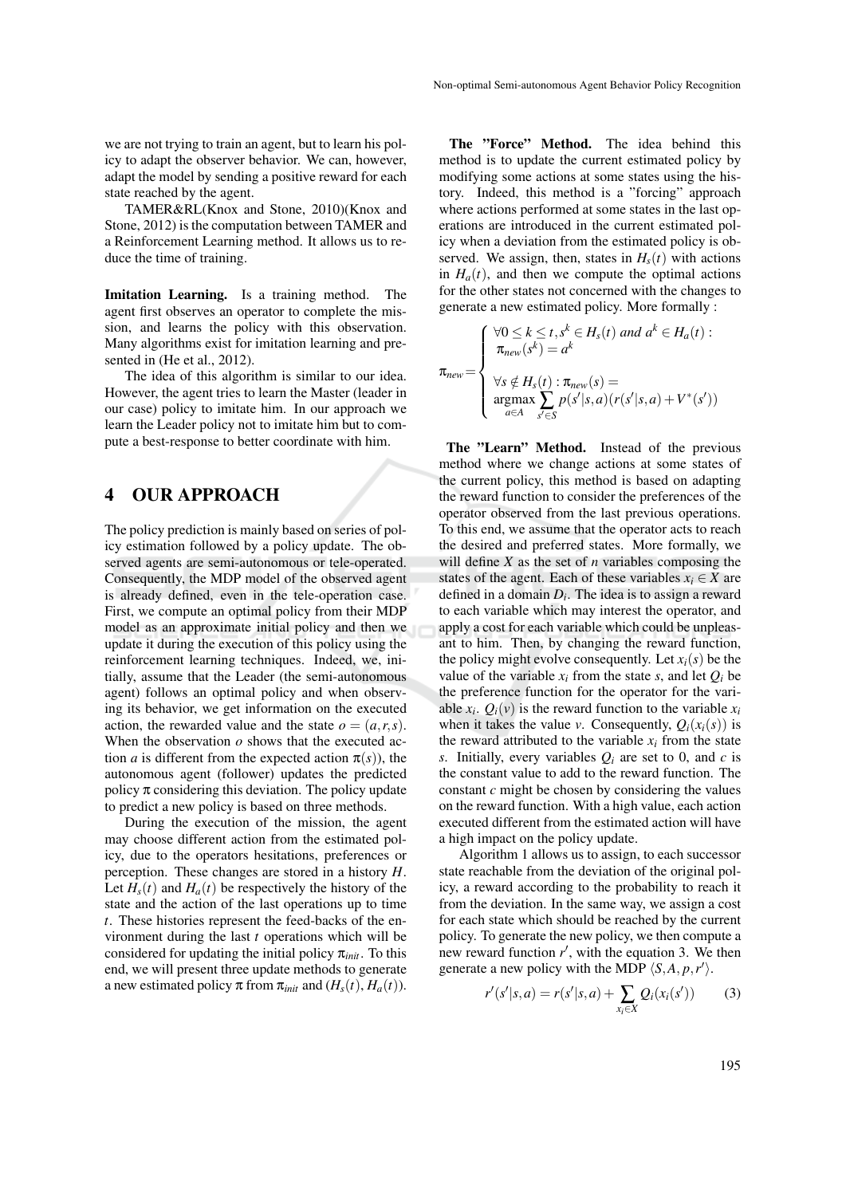we are not trying to train an agent, but to learn his policy to adapt the observer behavior. We can, however, adapt the model by sending a positive reward for each state reached by the agent.

TAMER&RL(Knox and Stone, 2010)(Knox and Stone, 2012) is the computation between TAMER and a Reinforcement Learning method. It allows us to reduce the time of training.

Imitation Learning. Is a training method. The agent first observes an operator to complete the mission, and learns the policy with this observation. Many algorithms exist for imitation learning and presented in (He et al., 2012).

The idea of this algorithm is similar to our idea. However, the agent tries to learn the Master (leader in our case) policy to imitate him. In our approach we learn the Leader policy not to imitate him but to compute a best-response to better coordinate with him.

# 4 OUR APPROACH

The policy prediction is mainly based on series of policy estimation followed by a policy update. The observed agents are semi-autonomous or tele-operated. Consequently, the MDP model of the observed agent is already defined, even in the tele-operation case. First, we compute an optimal policy from their MDP model as an approximate initial policy and then we update it during the execution of this policy using the reinforcement learning techniques. Indeed, we, initially, assume that the Leader (the semi-autonomous agent) follows an optimal policy and when observing its behavior, we get information on the executed action, the rewarded value and the state  $o = (a, r, s)$ . When the observation  $\rho$  shows that the executed action *a* is different from the expected action  $\pi(s)$ , the autonomous agent (follower) updates the predicted policy  $\pi$  considering this deviation. The policy update to predict a new policy is based on three methods.

During the execution of the mission, the agent may choose different action from the estimated policy, due to the operators hesitations, preferences or perception. These changes are stored in a history *H*. Let  $H_s(t)$  and  $H_a(t)$  be respectively the history of the state and the action of the last operations up to time *t*. These histories represent the feed-backs of the environment during the last *t* operations which will be considered for updating the initial policy π*init*. To this end, we will present three update methods to generate a new estimated policy  $\pi$  from  $\pi_{init}$  and  $(H_s(t), H_a(t))$ .

The "Force" Method. The idea behind this method is to update the current estimated policy by modifying some actions at some states using the history. Indeed, this method is a "forcing" approach where actions performed at some states in the last operations are introduced in the current estimated policy when a deviation from the estimated policy is observed. We assign, then, states in  $H<sub>s</sub>(t)$  with actions in  $H_a(t)$ , and then we compute the optimal actions for the other states not concerned with the changes to generate a new estimated policy. More formally :

$$
\pi_{new} = \begin{cases}\n\forall 0 \leq k \leq t, s^k \in H_s(t) \text{ and } a^k \in H_a(t): \\
\pi_{new}(s^k) = a^k \\
\forall s \notin H_s(t) : \pi_{new}(s) = \\
\argmax_{a \in A} \sum_{s' \in S} p(s'|s, a) (r(s'|s, a) + V^*(s'))\n\end{cases}
$$

The "Learn" Method. Instead of the previous method where we change actions at some states of the current policy, this method is based on adapting the reward function to consider the preferences of the operator observed from the last previous operations. To this end, we assume that the operator acts to reach the desired and preferred states. More formally, we will define *X* as the set of *n* variables composing the states of the agent. Each of these variables  $x_i \in X$  are defined in a domain *D<sup>i</sup>* . The idea is to assign a reward to each variable which may interest the operator, and apply a cost for each variable which could be unpleasant to him. Then, by changing the reward function, the policy might evolve consequently. Let  $x_i(s)$  be the value of the variable  $x_i$  from the state *s*, and let  $Q_i$  be the preference function for the operator for the variable  $x_i$ .  $Q_i(v)$  is the reward function to the variable  $x_i$ when it takes the value *v*. Consequently,  $Q_i(x_i(s))$  is the reward attributed to the variable  $x_i$  from the state *s*. Initially, every variables *Q<sup>i</sup>* are set to 0, and *c* is the constant value to add to the reward function. The constant *c* might be chosen by considering the values on the reward function. With a high value, each action executed different from the estimated action will have a high impact on the policy update.

Algorithm 1 allows us to assign, to each successor state reachable from the deviation of the original policy, a reward according to the probability to reach it from the deviation. In the same way, we assign a cost for each state which should be reached by the current policy. To generate the new policy, we then compute a new reward function  $r'$ , with the equation 3. We then generate a new policy with the MDP  $\langle S, A, p, r' \rangle$ .

$$
r'(s'|s, a) = r(s'|s, a) + \sum_{x_i \in X} Q_i(x_i(s')) \tag{3}
$$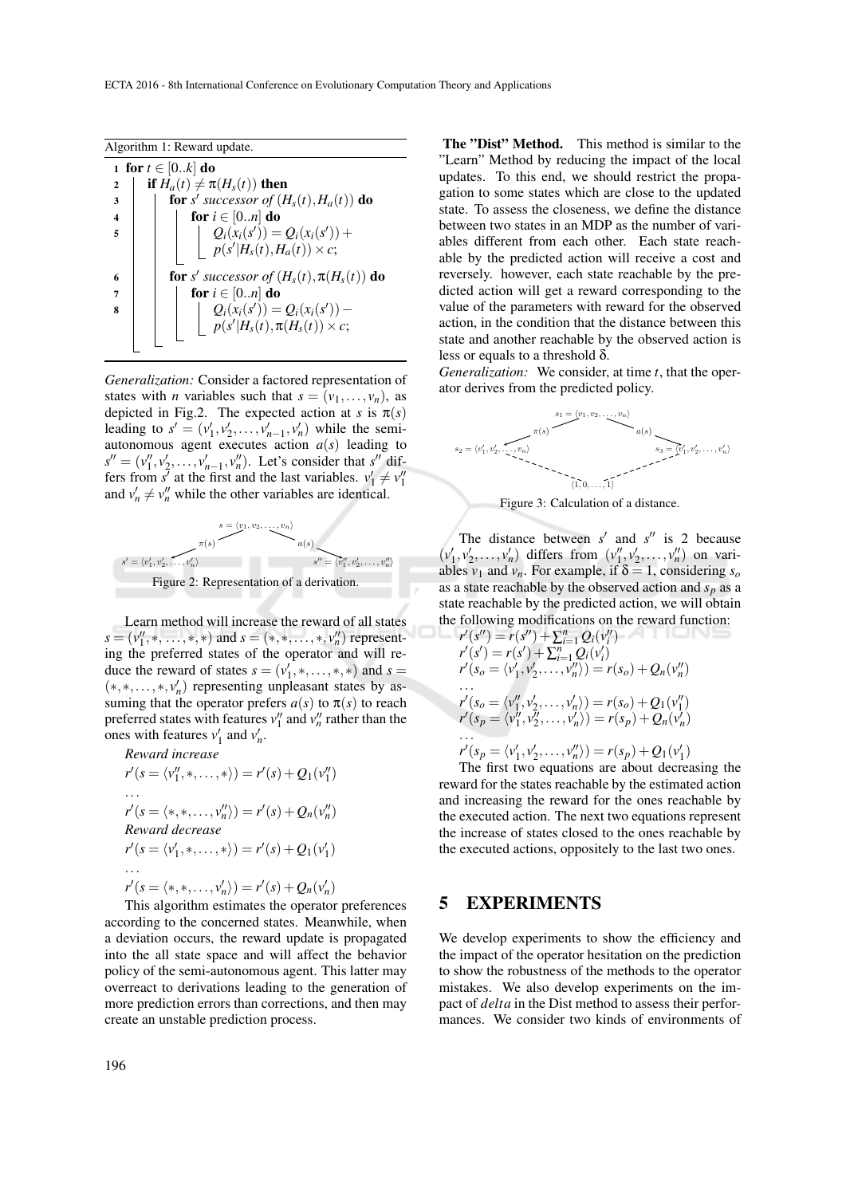Algorithm 1: Reward update.

| 1 for $t \in [0k]$ do   |                                                                     |  |  |  |  |  |  |
|-------------------------|---------------------------------------------------------------------|--|--|--|--|--|--|
| $\overline{2}$          | if $H_a(t) \neq \pi(H_s(t))$ then                                   |  |  |  |  |  |  |
| 3                       | <b>for</b> s' successor of $(H_s(t), H_a(t))$ <b>do</b>             |  |  |  |  |  |  |
| $\overline{\mathbf{4}}$ | for $i \in [0n]$ do                                                 |  |  |  |  |  |  |
| 5                       | $Q_i(x_i(s')) = Q_i(x_i(s')) +$<br>$p(s' H_s(t), H_a(t)) \times c;$ |  |  |  |  |  |  |
|                         |                                                                     |  |  |  |  |  |  |
| 6                       | <b>for</b> s' successor of $(H_s(t), \pi(H_s(t))$ <b>do</b>         |  |  |  |  |  |  |
| 7                       | for $i \in [0n]$ do                                                 |  |  |  |  |  |  |
| 8                       | $Q_i(x_i(s')) = Q_i(x_i(s')) -$                                     |  |  |  |  |  |  |
|                         | $p(s' H_s(t), \pi(H_s(t)) \times c;$                                |  |  |  |  |  |  |
|                         |                                                                     |  |  |  |  |  |  |

*Generalization:* Consider a factored representation of states with *n* variables such that  $s = (v_1, \ldots, v_n)$ , as depicted in Fig.2. The expected action at *s* is  $\pi(s)$ leading to  $s' = (v'_1, v'_2, \dots, v'_{n-1}, v'_n)$  while the semiautonomous agent executes action  $a(s)$  leading to  $s'' = (v''_1, v'_2, \dots, v'_{n-1}, v''_n)$ . Let's consider that  $s''$  differs from *s'* at the first and the last variables.  $v'_1 \neq v''_1$ and  $v'_n \neq v''_n$  while the other variables are identical.





Learn method will increase the reward of all states  $s = (v_1'', \ldots, \ast, \ast)$  and  $s = (\ast, \ast, \ldots, \ast, v_n'')$  representing the preferred states of the operator and will reduce the reward of states  $s = (v'_1, *, \ldots, *, *)$  and  $s = (v'_1, *, \ldots, *, *)$  $(*,*,...,*,v'_n)$  representing unpleasant states by assuming that the operator prefers  $a(s)$  to  $\pi(s)$  to reach preferred states with features  $v_1''$  and  $v_n''$  rather than the ones with features  $v'_1$  and  $v'_n$ .

*Reward increase*  $r'(s = \langle v_1'', \ldots, * \rangle) = r'(s) + Q_1(v_1'')$ ...  $r'(s = \langle *, *, \ldots, v''_n \rangle) = r'(s) + Q_n(v''_n)$ *Reward decrease*  $r'(s = \langle v'_1, *, \ldots, * \rangle) = r'(s) + Q_1(v'_1)$ ...  $r'(s = \langle *, *, \ldots, v'_n \rangle) = r'(s) + Q_n(v'_n)$ This algorithm estimates the operator preferences

according to the concerned states. Meanwhile, when a deviation occurs, the reward update is propagated into the all state space and will affect the behavior policy of the semi-autonomous agent. This latter may overreact to derivations leading to the generation of more prediction errors than corrections, and then may create an unstable prediction process.

The "Dist" Method. This method is similar to the "Learn" Method by reducing the impact of the local updates. To this end, we should restrict the propagation to some states which are close to the updated state. To assess the closeness, we define the distance between two states in an MDP as the number of variables different from each other. Each state reachable by the predicted action will receive a cost and reversely. however, each state reachable by the predicted action will get a reward corresponding to the value of the parameters with reward for the observed action, in the condition that the distance between this state and another reachable by the observed action is less or equals to a threshold  $\delta$ .

*Generalization:* We consider, at time *t*, that the operator derives from the predicted policy.



Figure 3: Calculation of a distance.

The distance between  $s'$  and  $s''$  is 2 because  $(v'_1, v'_2, \ldots, v'_n)$  differs from  $(v''_1, v'_2, \ldots, v''_n)$  on variables  $v_1$  and  $v_n$ . For example, if  $\delta = 1$ , considering  $s_o$ as a state reachable by the observed action and *s<sup>p</sup>* as a state reachable by the predicted action, we will obtain the following modifications on the reward function:

$$
r'(s'') = r(s'') + \sum_{i=1}^{n} Q_i(v_i'')
$$
  
\n
$$
r'(s') = r(s') + \sum_{i=1}^{n} Q_i(v_i')
$$
  
\n
$$
r'(s_o = \langle v'_1, v'_2, \dots, v''_n \rangle) = r(s_o) + Q_n(v''_n)
$$
  
\n...  
\n
$$
r'(s_o = \langle v''_1, v'_2, \dots, v'_n \rangle) = r(s_o) + Q_1(v''_1)
$$
  
\n
$$
r'(s_p = \langle v''_1, v''_2, \dots, v'_n \rangle) = r(s_p) + Q_n(v'_n)
$$
  
\n...  
\n
$$
r'(s_p = \langle v'_1, v'_2, \dots, v''_n \rangle) = r(s_p) + Q_1(v'_1)
$$
  
\n...  
\n
$$
r'(s_p = \langle v'_1, v'_2, \dots, v''_n \rangle) = r(s_p) + Q_1(v'_1)
$$

The first two equations are about decreasing the reward for the states reachable by the estimated action and increasing the reward for the ones reachable by the executed action. The next two equations represent the increase of states closed to the ones reachable by the executed actions, oppositely to the last two ones.

### 5 EXPERIMENTS

We develop experiments to show the efficiency and the impact of the operator hesitation on the prediction to show the robustness of the methods to the operator mistakes. We also develop experiments on the impact of *delta* in the Dist method to assess their performances. We consider two kinds of environments of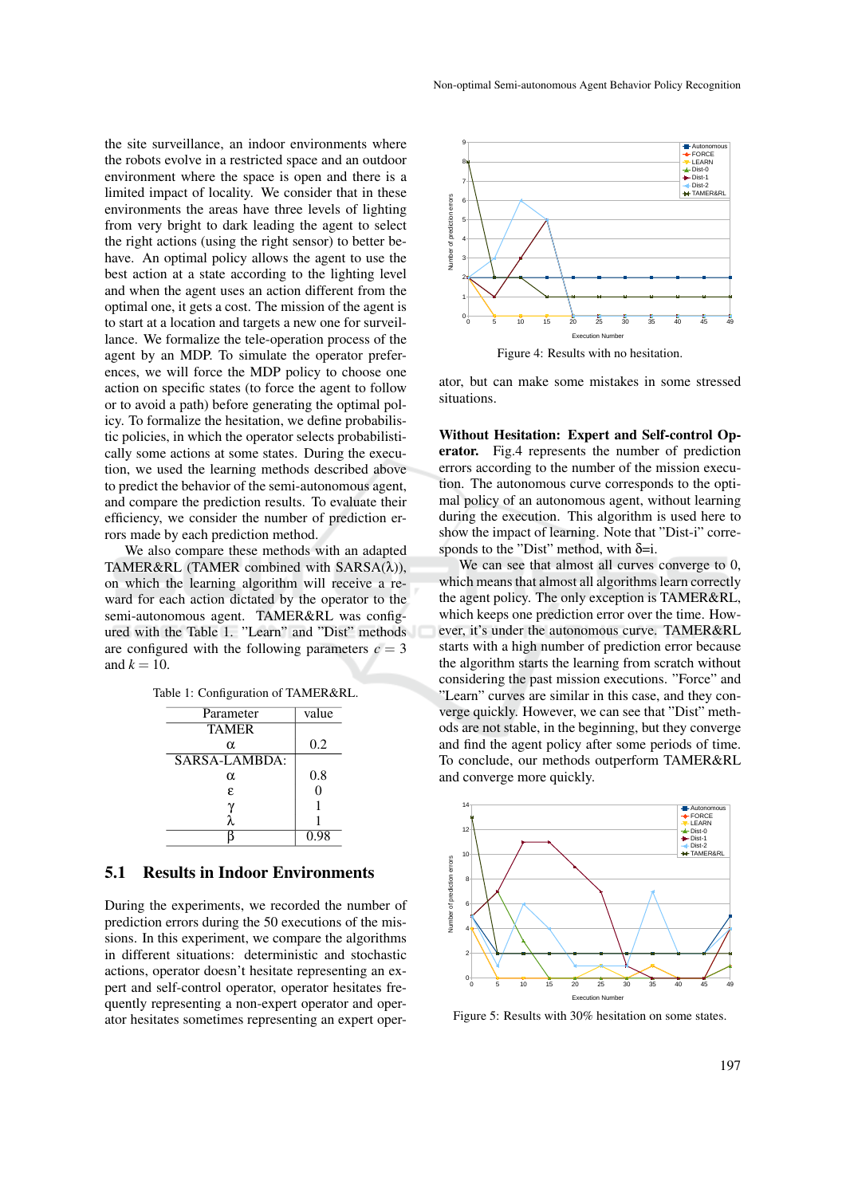the site surveillance, an indoor environments where the robots evolve in a restricted space and an outdoor environment where the space is open and there is a limited impact of locality. We consider that in these environments the areas have three levels of lighting from very bright to dark leading the agent to select the right actions (using the right sensor) to better behave. An optimal policy allows the agent to use the best action at a state according to the lighting level and when the agent uses an action different from the optimal one, it gets a cost. The mission of the agent is to start at a location and targets a new one for surveillance. We formalize the tele-operation process of the agent by an MDP. To simulate the operator preferences, we will force the MDP policy to choose one action on specific states (to force the agent to follow or to avoid a path) before generating the optimal policy. To formalize the hesitation, we define probabilistic policies, in which the operator selects probabilistically some actions at some states. During the execution, we used the learning methods described above to predict the behavior of the semi-autonomous agent, and compare the prediction results. To evaluate their efficiency, we consider the number of prediction errors made by each prediction method.

We also compare these methods with an adapted TAMER&RL (TAMER combined with SARSA(λ)), on which the learning algorithm will receive a reward for each action dictated by the operator to the semi-autonomous agent. TAMER&RL was configured with the Table 1. "Learn" and "Dist" methods are configured with the following parameters  $c = 3$ and  $k = 10$ .

|  |  | Table 1: Configuration of TAMER&RL. |
|--|--|-------------------------------------|
|--|--|-------------------------------------|

| Parameter     | value |  |  |
|---------------|-------|--|--|
| <b>TAMER</b>  |       |  |  |
| α             | 0.2   |  |  |
| SARSA-LAMBDA: |       |  |  |
| α             | 0.8   |  |  |
| £.            | 0     |  |  |
| γ             |       |  |  |
|               |       |  |  |
|               | 0.98  |  |  |

#### 5.1 Results in Indoor Environments

During the experiments, we recorded the number of prediction errors during the 50 executions of the missions. In this experiment, we compare the algorithms in different situations: deterministic and stochastic actions, operator doesn't hesitate representing an expert and self-control operator, operator hesitates frequently representing a non-expert operator and operator hesitates sometimes representing an expert oper-



ator, but can make some mistakes in some stressed situations.

Without Hesitation: Expert and Self-control Operator. Fig.4 represents the number of prediction errors according to the number of the mission execution. The autonomous curve corresponds to the optimal policy of an autonomous agent, without learning during the execution. This algorithm is used here to show the impact of learning. Note that "Dist-i" corresponds to the "Dist" method, with  $\delta = i$ .

We can see that almost all curves converge to 0, which means that almost all algorithms learn correctly the agent policy. The only exception is TAMER&RL, which keeps one prediction error over the time. However, it's under the autonomous curve. TAMER&RL starts with a high number of prediction error because the algorithm starts the learning from scratch without considering the past mission executions. "Force" and "Learn" curves are similar in this case, and they converge quickly. However, we can see that "Dist" methods are not stable, in the beginning, but they converge and find the agent policy after some periods of time. To conclude, our methods outperform TAMER&RL and converge more quickly.



Figure 5: Results with 30% hesitation on some states.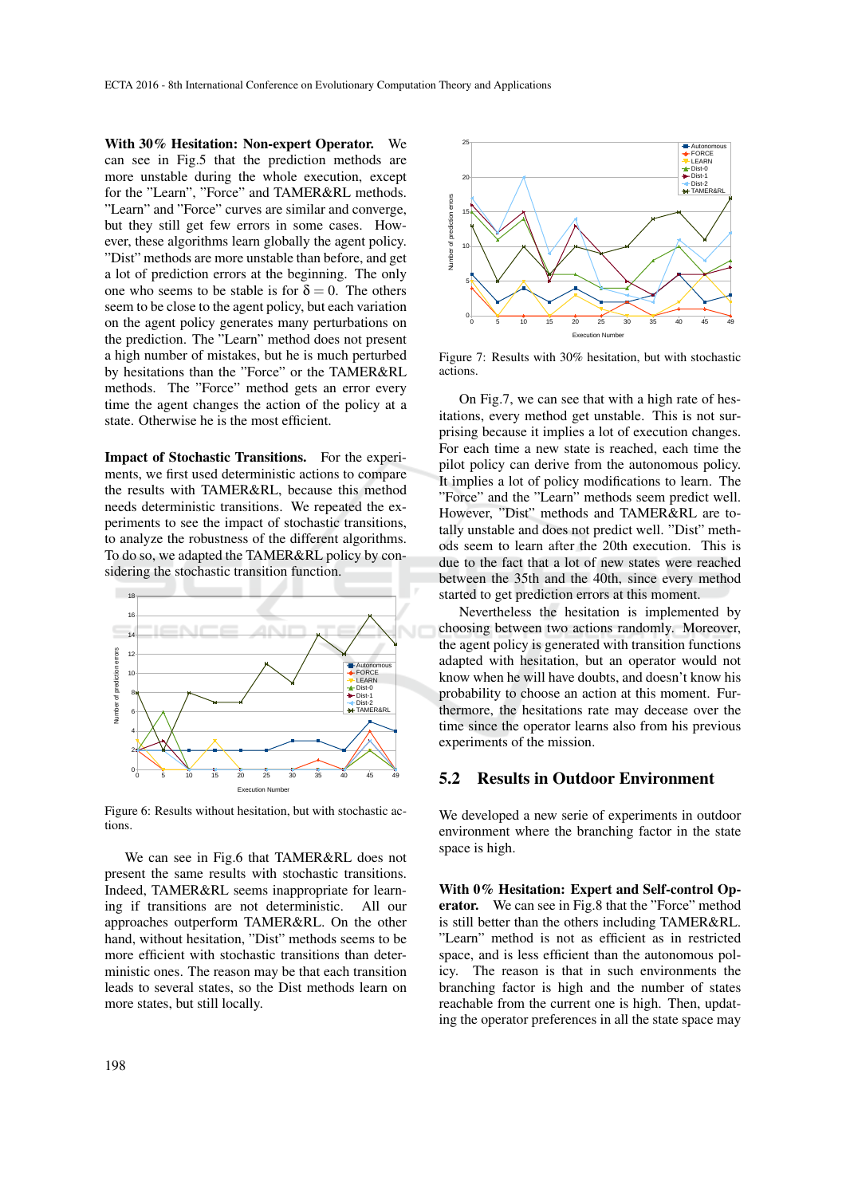With 30% Hesitation: Non-expert Operator. We can see in Fig.5 that the prediction methods are more unstable during the whole execution, except for the "Learn", "Force" and TAMER&RL methods. "Learn" and "Force" curves are similar and converge, but they still get few errors in some cases. However, these algorithms learn globally the agent policy. "Dist" methods are more unstable than before, and get a lot of prediction errors at the beginning. The only one who seems to be stable is for  $\delta = 0$ . The others seem to be close to the agent policy, but each variation on the agent policy generates many perturbations on the prediction. The "Learn" method does not present a high number of mistakes, but he is much perturbed by hesitations than the "Force" or the TAMER&RL methods. The "Force" method gets an error every time the agent changes the action of the policy at a state. Otherwise he is the most efficient.

Impact of Stochastic Transitions. For the experiments, we first used deterministic actions to compare the results with TAMER&RL, because this method needs deterministic transitions. We repeated the experiments to see the impact of stochastic transitions, to analyze the robustness of the different algorithms. To do so, we adapted the TAMER&RL policy by considering the stochastic transition function.



Figure 6: Results without hesitation, but with stochastic actions.

We can see in Fig.6 that TAMER&RL does not present the same results with stochastic transitions. Indeed, TAMER&RL seems inappropriate for learning if transitions are not deterministic. All our approaches outperform TAMER&RL. On the other hand, without hesitation, "Dist" methods seems to be more efficient with stochastic transitions than deterministic ones. The reason may be that each transition leads to several states, so the Dist methods learn on more states, but still locally.



Figure 7: Results with 30% hesitation, but with stochastic actions.

On Fig.7, we can see that with a high rate of hesitations, every method get unstable. This is not surprising because it implies a lot of execution changes. For each time a new state is reached, each time the pilot policy can derive from the autonomous policy. It implies a lot of policy modifications to learn. The "Force" and the "Learn" methods seem predict well. However, "Dist" methods and TAMER&RL are totally unstable and does not predict well. "Dist" methods seem to learn after the 20th execution. This is due to the fact that a lot of new states were reached between the 35th and the 40th, since every method started to get prediction errors at this moment.

Nevertheless the hesitation is implemented by choosing between two actions randomly. Moreover, the agent policy is generated with transition functions adapted with hesitation, but an operator would not know when he will have doubts, and doesn't know his probability to choose an action at this moment. Furthermore, the hesitations rate may decease over the time since the operator learns also from his previous experiments of the mission.

### 5.2 Results in Outdoor Environment

We developed a new serie of experiments in outdoor environment where the branching factor in the state space is high.

With 0% Hesitation: Expert and Self-control Operator. We can see in Fig.8 that the "Force" method is still better than the others including TAMER&RL. "Learn" method is not as efficient as in restricted space, and is less efficient than the autonomous policy. The reason is that in such environments the branching factor is high and the number of states reachable from the current one is high. Then, updating the operator preferences in all the state space may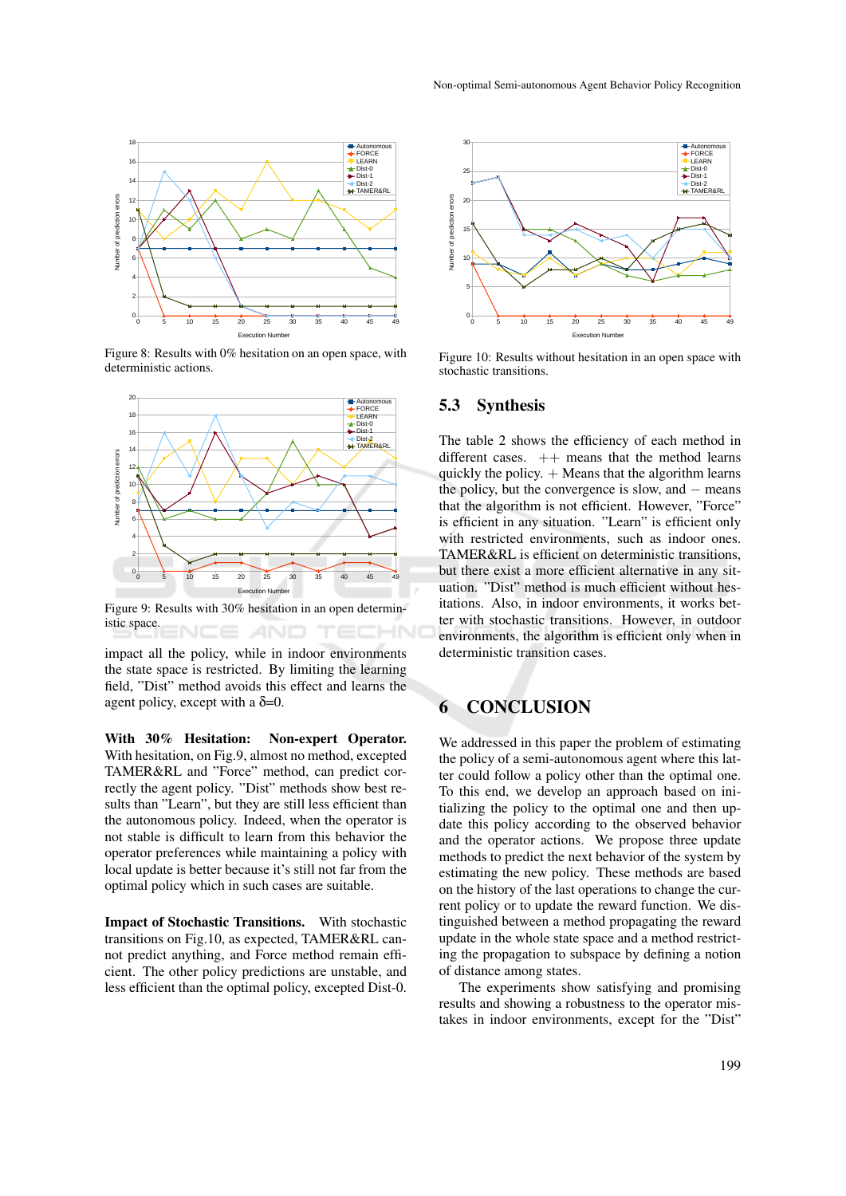

Figure 8: Results with 0% hesitation on an open space, with deterministic actions.



Figure 9: Results with 30% hesitation in an open deterministic space. T E L

impact all the policy, while in indoor environments the state space is restricted. By limiting the learning field, "Dist" method avoids this effect and learns the agent policy, except with a  $\delta = 0$ .

With 30% Hesitation: Non-expert Operator. With hesitation, on Fig.9, almost no method, excepted TAMER&RL and "Force" method, can predict correctly the agent policy. "Dist" methods show best results than "Learn", but they are still less efficient than the autonomous policy. Indeed, when the operator is not stable is difficult to learn from this behavior the operator preferences while maintaining a policy with local update is better because it's still not far from the optimal policy which in such cases are suitable.

Impact of Stochastic Transitions. With stochastic transitions on Fig.10, as expected, TAMER&RL cannot predict anything, and Force method remain efficient. The other policy predictions are unstable, and less efficient than the optimal policy, excepted Dist-0.



Figure 10: Results without hesitation in an open space with stochastic transitions.

#### 5.3 Synthesis

The table 2 shows the efficiency of each method in different cases.  $++$  means that the method learns quickly the policy.  $+$  Means that the algorithm learns the policy, but the convergence is slow, and  $-$  means that the algorithm is not efficient. However, "Force" is efficient in any situation. "Learn" is efficient only with restricted environments, such as indoor ones. TAMER&RL is efficient on deterministic transitions, but there exist a more efficient alternative in any situation. "Dist" method is much efficient without hesitations. Also, in indoor environments, it works better with stochastic transitions. However, in outdoor environments, the algorithm is efficient only when in deterministic transition cases.

## 6 CONCLUSION

We addressed in this paper the problem of estimating the policy of a semi-autonomous agent where this latter could follow a policy other than the optimal one. To this end, we develop an approach based on initializing the policy to the optimal one and then update this policy according to the observed behavior and the operator actions. We propose three update methods to predict the next behavior of the system by estimating the new policy. These methods are based on the history of the last operations to change the current policy or to update the reward function. We distinguished between a method propagating the reward update in the whole state space and a method restricting the propagation to subspace by defining a notion of distance among states.

The experiments show satisfying and promising results and showing a robustness to the operator mistakes in indoor environments, except for the "Dist"